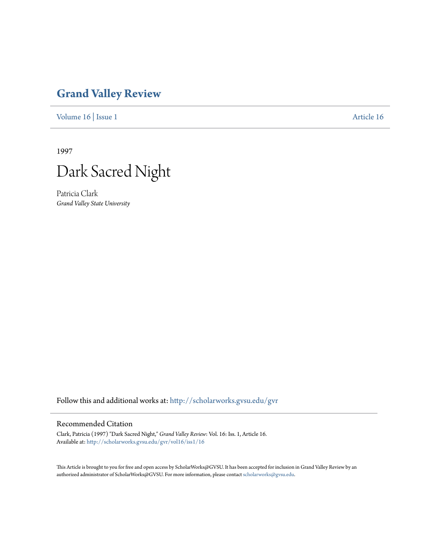## **[Grand Valley Review](http://scholarworks.gvsu.edu/gvr?utm_source=scholarworks.gvsu.edu%2Fgvr%2Fvol16%2Fiss1%2F16&utm_medium=PDF&utm_campaign=PDFCoverPages)**

[Volume 16](http://scholarworks.gvsu.edu/gvr/vol16?utm_source=scholarworks.gvsu.edu%2Fgvr%2Fvol16%2Fiss1%2F16&utm_medium=PDF&utm_campaign=PDFCoverPages) | [Issue 1](http://scholarworks.gvsu.edu/gvr/vol16/iss1?utm_source=scholarworks.gvsu.edu%2Fgvr%2Fvol16%2Fiss1%2F16&utm_medium=PDF&utm_campaign=PDFCoverPages) [Article 16](http://scholarworks.gvsu.edu/gvr/vol16/iss1/16?utm_source=scholarworks.gvsu.edu%2Fgvr%2Fvol16%2Fiss1%2F16&utm_medium=PDF&utm_campaign=PDFCoverPages)

1997



Patricia Clark *Grand Valley State University*

Follow this and additional works at: [http://scholarworks.gvsu.edu/gvr](http://scholarworks.gvsu.edu/gvr?utm_source=scholarworks.gvsu.edu%2Fgvr%2Fvol16%2Fiss1%2F16&utm_medium=PDF&utm_campaign=PDFCoverPages)

## Recommended Citation

Clark, Patricia (1997) "Dark Sacred Night," *Grand Valley Review*: Vol. 16: Iss. 1, Article 16. Available at: [http://scholarworks.gvsu.edu/gvr/vol16/iss1/16](http://scholarworks.gvsu.edu/gvr/vol16/iss1/16?utm_source=scholarworks.gvsu.edu%2Fgvr%2Fvol16%2Fiss1%2F16&utm_medium=PDF&utm_campaign=PDFCoverPages)

This Article is brought to you for free and open access by ScholarWorks@GVSU. It has been accepted for inclusion in Grand Valley Review by an authorized administrator of ScholarWorks@GVSU. For more information, please contact [scholarworks@gvsu.edu.](mailto:scholarworks@gvsu.edu)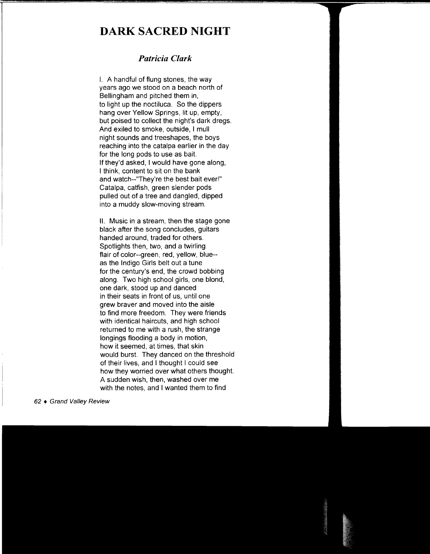## **DARK SACRED NIGHT**

## *Patricia Clark*

I. A handful of flung stones, the way years ago we stood on a beach north of Bellingham and pitched them in, to light up the noctiluca. So the dippers hang over Yellow Springs, lit up, empty, but poised to collect the night's dark dregs. And exiled to smoke, outside, I mull night sounds and treeshapes, the boys reaching into the catalpa earlier in the day for the long pods to use as bait. If they'd asked, I would have gone along, I think, content to sit on the bank and watch--"They're the best bait ever!" Catalpa, catfish, green slender pods pulled out of a tree and dangled, dipped into a muddy slow-moving stream.

II. Music in a stream, then the stage gone black after the song concludes, guitars handed around, traded for others. Spotlights then, two, and a twirling flair of color--green, red, yellow, blue- as the Indigo Girls belt out a tune for the century's end, the crowd bobbing along. Two high school girls, one blond, one dark, stood up and danced in their seats in front of us, until one grew braver and moved into the aisle to find more freedom. They were friends with identical haircuts, and high school returned to me with a rush, the strange longings flooding a body in motion, how it seemed, at times, that skin would burst. They danced on the threshold of their lives, and I thought I could see how they worried over what others thought. A sudden wish, then, washed over me with the notes, and I wanted them to find